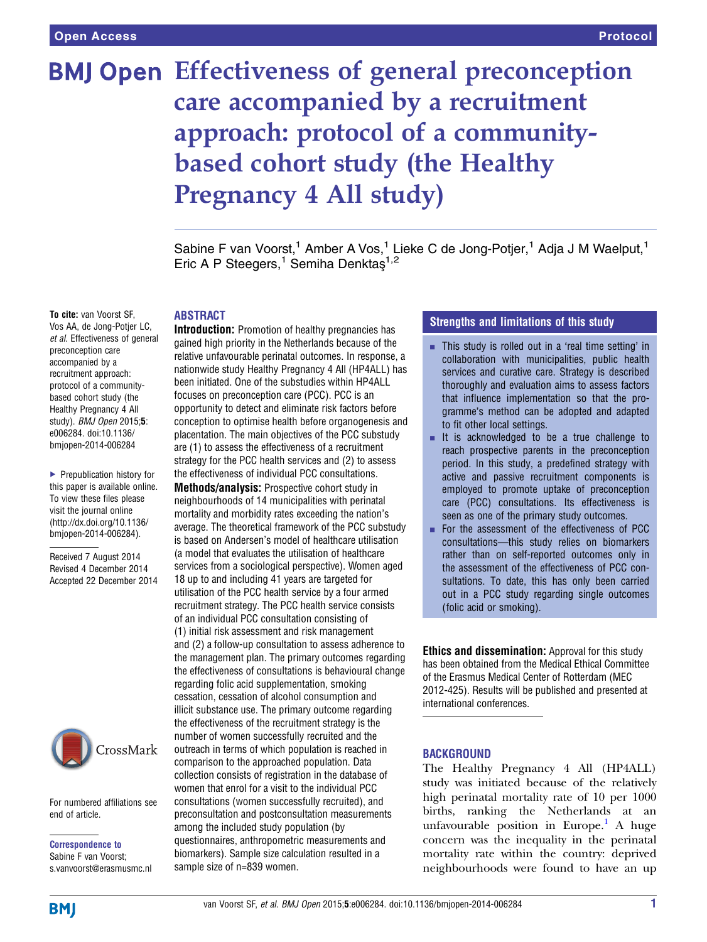# **BMJ Open Effectiveness of general preconception** care accompanied by a recruitment approach: protocol of a communitybased cohort study (the Healthy Pregnancy 4 All study)

Sabine F van Voorst,<sup>1</sup> Amber A Vos,<sup>1</sup> Lieke C de Jong-Potjer,<sup>1</sup> Adja J M Waelput,<sup>1</sup> Eric A P Steegers,<sup>1</sup> Semiha Denktaş<sup>1,2</sup>

# **ARSTRACT**

To cite: van Voorst SF, Vos AA, de Jong-Potjer LC, et al. Effectiveness of general preconception care accompanied by a recruitment approach: protocol of a communitybased cohort study (the Healthy Pregnancy 4 All study). *BMJ Open* 2015;5: e006284. doi:10.1136/ bmjopen-2014-006284

▶ Prepublication history for this paper is available online. To view these files please visit the journal online [\(http://dx.doi.org/10.1136/](http://dx.doi.org/10.1136/bmjopen-2014-006284) [bmjopen-2014-006284](http://dx.doi.org/10.1136/bmjopen-2014-006284)).

Received 7 August 2014 Revised 4 December 2014 Accepted 22 December 2014



For numbered affiliations see end of article.

Correspondence to Sabine F van Voorst; s.vanvoorst@erasmusmc.nl Introduction: Promotion of healthy pregnancies has gained high priority in the Netherlands because of the relative unfavourable perinatal outcomes. In response, a nationwide study Healthy Pregnancy 4 All (HP4ALL) has been initiated. One of the substudies within HP4ALL focuses on preconception care (PCC). PCC is an opportunity to detect and eliminate risk factors before conception to optimise health before organogenesis and placentation. The main objectives of the PCC substudy are (1) to assess the effectiveness of a recruitment strategy for the PCC health services and (2) to assess the effectiveness of individual PCC consultations.

Methods/analysis: Prospective cohort study in neighbourhoods of 14 municipalities with perinatal mortality and morbidity rates exceeding the nation's average. The theoretical framework of the PCC substudy is based on Andersen's model of healthcare utilisation (a model that evaluates the utilisation of healthcare services from a sociological perspective). Women aged 18 up to and including 41 years are targeted for utilisation of the PCC health service by a four armed recruitment strategy. The PCC health service consists of an individual PCC consultation consisting of (1) initial risk assessment and risk management and (2) a follow-up consultation to assess adherence to the management plan. The primary outcomes regarding the effectiveness of consultations is behavioural change regarding folic acid supplementation, smoking cessation, cessation of alcohol consumption and illicit substance use. The primary outcome regarding the effectiveness of the recruitment strategy is the number of women successfully recruited and the outreach in terms of which population is reached in comparison to the approached population. Data collection consists of registration in the database of women that enrol for a visit to the individual PCC consultations (women successfully recruited), and preconsultation and postconsultation measurements among the included study population (by questionnaires, anthropometric measurements and biomarkers). Sample size calculation resulted in a sample size of n=839 women.

# Strengths and limitations of this study

- This study is rolled out in a 'real time setting' in collaboration with municipalities, public health services and curative care. Strategy is described thoroughly and evaluation aims to assess factors that influence implementation so that the programme's method can be adopted and adapted to fit other local settings.
- **E** It is acknowledged to be a true challenge to reach prospective parents in the preconception period. In this study, a predefined strategy with active and passive recruitment components is employed to promote uptake of preconception care (PCC) consultations. Its effectiveness is seen as one of the primary study outcomes.
- For the assessment of the effectiveness of PCC consultations—this study relies on biomarkers rather than on self-reported outcomes only in the assessment of the effectiveness of PCC consultations. To date, this has only been carried out in a PCC study regarding single outcomes (folic acid or smoking).

Ethics and dissemination: Approval for this study has been obtained from the Medical Ethical Committee of the Erasmus Medical Center of Rotterdam (MEC 2012-425). Results will be published and presented at international conferences.

## **BACKGROUND**

The Healthy Pregnancy 4 All (HP4ALL) study was initiated because of the relatively high perinatal mortality rate of 10 per 1000 births, ranking the Netherlands at an unfavourable position in Europe.<sup>[1](#page-9-0)</sup> A huge concern was the inequality in the perinatal mortality rate within the country: deprived neighbourhoods were found to have an up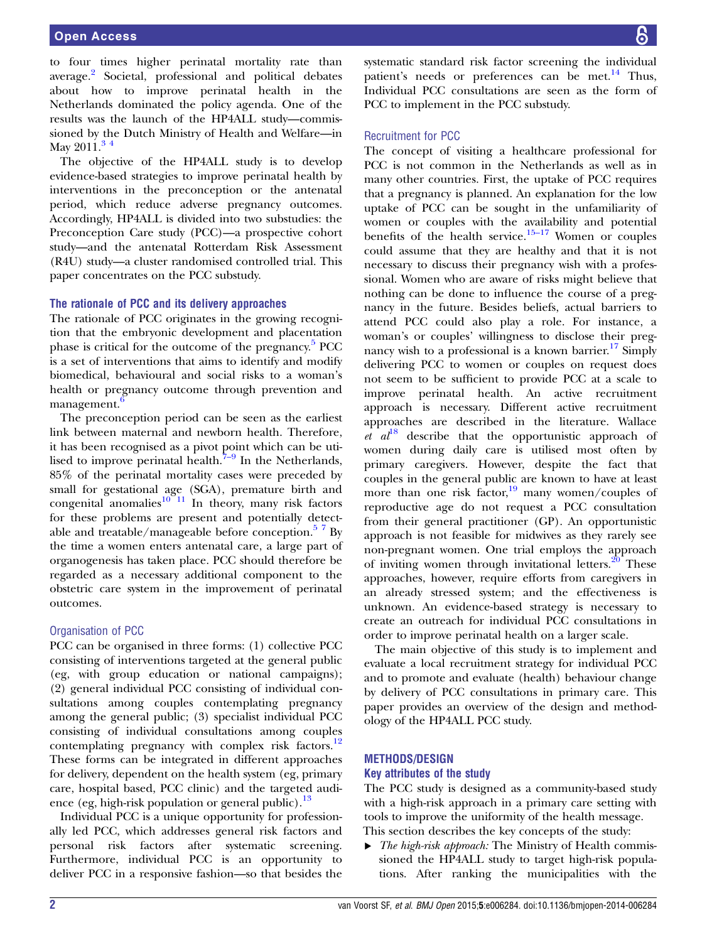to four times higher perinatal mortality rate than average.[2](#page-9-0) Societal, professional and political debates about how to improve perinatal health in the Netherlands dominated the policy agenda. One of the results was the launch of the HP4ALL study—commissioned by the Dutch Ministry of Health and Welfare—in May  $2011.<sup>3</sup>$ <sup>4</sup>

The objective of the HP4ALL study is to develop evidence-based strategies to improve perinatal health by interventions in the preconception or the antenatal period, which reduce adverse pregnancy outcomes. Accordingly, HP4ALL is divided into two substudies: the Preconception Care study (PCC)—a prospective cohort study—and the antenatal Rotterdam Risk Assessment (R4U) study—a cluster randomised controlled trial. This paper concentrates on the PCC substudy.

#### The rationale of PCC and its delivery approaches

The rationale of PCC originates in the growing recognition that the embryonic development and placentation phase is critical for the outcome of the pregnancy.<sup>5</sup> PCC is a set of interventions that aims to identify and modify biomedical, behavioural and social risks to a woman's health or pregnancy outcome through prevention and management.<sup>[6](#page-9-0)</sup>

The preconception period can be seen as the earliest link between maternal and newborn health. Therefore, it has been recognised as a pivot [poi](#page-9-0)nt which can be utilised to improve perinatal health. $7-9$  In the Netherlands, 85% of the perinatal mortality cases were preceded by small for gestational age (SGA), premature birth and congenital anomalies<sup>[10 11](#page-9-0)</sup> In theory, many risk factors for these problems are present and potentially detectable and treatable/manageable before conception. $57$  By the time a women enters antenatal care, a large part of organogenesis has taken place. PCC should therefore be regarded as a necessary additional component to the obstetric care system in the improvement of perinatal outcomes.

## Organisation of PCC

PCC can be organised in three forms: (1) collective PCC consisting of interventions targeted at the general public (eg, with group education or national campaigns); (2) general individual PCC consisting of individual consultations among couples contemplating pregnancy among the general public; (3) specialist individual PCC consisting of individual consultations among couples contemplating pregnancy with complex risk factors.<sup>[12](#page-9-0)</sup> These forms can be integrated in different approaches for delivery, dependent on the health system (eg, primary care, hospital based, PCC clinic) and the targeted audi-ence (eg, high-risk population or general public).<sup>[13](#page-9-0)</sup>

Individual PCC is a unique opportunity for professionally led PCC, which addresses general risk factors and personal risk factors after systematic screening. Furthermore, individual PCC is an opportunity to deliver PCC in a responsive fashion—so that besides the

systematic standard risk factor screening the individual patient's needs or preferences can be met. $^{14}$  $^{14}$  $^{14}$  Thus, Individual PCC consultations are seen as the form of PCC to implement in the PCC substudy.

#### Recruitment for PCC

The concept of visiting a healthcare professional for PCC is not common in the Netherlands as well as in many other countries. First, the uptake of PCC requires that a pregnancy is planned. An explanation for the low uptake of PCC can be sought in the unfamiliarity of women or couples with the availability and potential benefits of the health service.<sup>[15](#page-9-0)–17</sup> Women or couples could assume that they are healthy and that it is not necessary to discuss their pregnancy wish with a professional. Women who are aware of risks might believe that nothing can be done to influence the course of a pregnancy in the future. Besides beliefs, actual barriers to attend PCC could also play a role. For instance, a woman's or couples' willingness to disclose their pregnancy wish to a professional is a known barrier. $17 \text{ Simply}$  $17 \text{ Simply}$ delivering PCC to women or couples on request does not seem to be sufficient to provide PCC at a scale to improve perinatal health. An active recruitment approach is necessary. Different active recruitment approaches are described in the literature. Wallace  $et \text{at}^{\text{18}}$  $et \text{at}^{\text{18}}$  $et \text{at}^{\text{18}}$  describe that the opportunistic approach of women during daily care is utilised most often by primary caregivers. However, despite the fact that couples in the general public are known to have at least more than one risk factor, $\frac{19}{19}$  many women/couples of reproductive age do not request a PCC consultation from their general practitioner (GP). An opportunistic approach is not feasible for midwives as they rarely see non-pregnant women. One trial employs the approach of inviting women through invitational letters.<sup>[20](#page-9-0)</sup> These approaches, however, require efforts from caregivers in an already stressed system; and the effectiveness is unknown. An evidence-based strategy is necessary to create an outreach for individual PCC consultations in order to improve perinatal health on a larger scale.

The main objective of this study is to implement and evaluate a local recruitment strategy for individual PCC and to promote and evaluate (health) behaviour change by delivery of PCC consultations in primary care. This paper provides an overview of the design and methodology of the HP4ALL PCC study.

#### METHODS/DESIGN

## Key attributes of the study

The PCC study is designed as a community-based study with a high-risk approach in a primary care setting with tools to improve the uniformity of the health message. This section describes the key concepts of the study:

▶ *The high-risk approach:* The Ministry of Health commissioned the HP4ALL study to target high-risk populations. After ranking the municipalities with the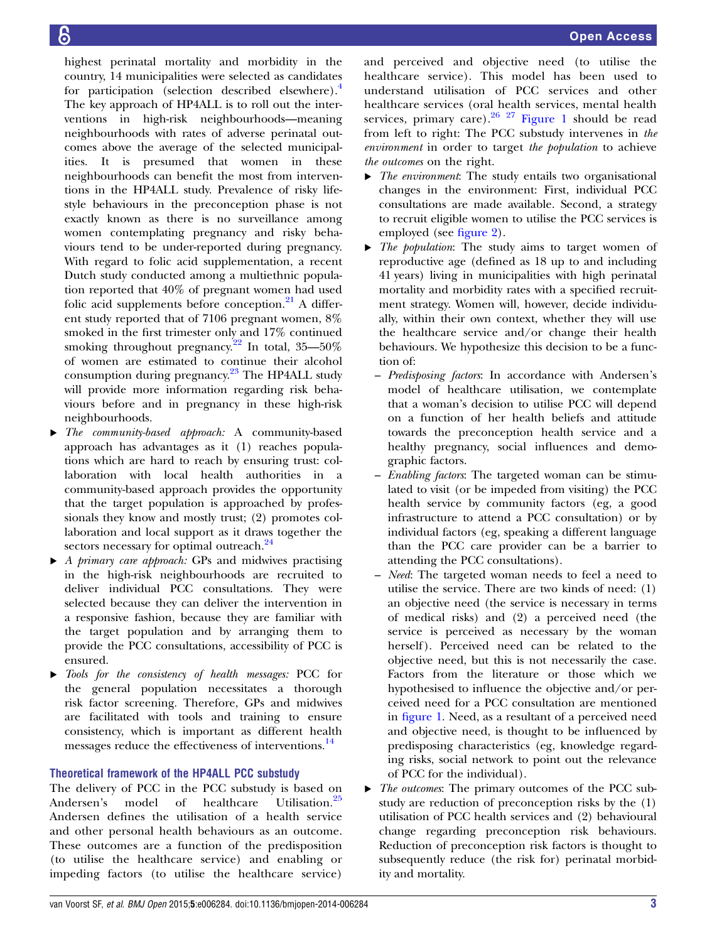highest perinatal mortality and morbidity in the country, 14 municipalities were selected as candidates for participation (selection described elsewhere). $4$ The key approach of HP4ALL is to roll out the interventions in high-risk neighbourhoods—meaning neighbourhoods with rates of adverse perinatal outcomes above the average of the selected municipalities. It is presumed that women in these neighbourhoods can benefit the most from interventions in the HP4ALL study. Prevalence of risky lifestyle behaviours in the preconception phase is not exactly known as there is no surveillance among women contemplating pregnancy and risky behaviours tend to be under-reported during pregnancy. With regard to folic acid supplementation, a recent Dutch study conducted among a multiethnic population reported that 40% of pregnant women had used folic acid supplements before conception. $21$  A different study reported that of 7106 pregnant women, 8% smoked in the first trimester only and 17% continued smoking throughout pregnancy.<sup>22</sup> In total, 35—50% of women are estimated to continue their alcohol consumption during pregnancy.<sup>[23](#page-9-0)</sup> The HP4ALL study will provide more information regarding risk behaviours before and in pregnancy in these high-risk neighbourhoods.

- ▸ The community-based approach: A community-based approach has advantages as it (1) reaches populations which are hard to reach by ensuring trust: collaboration with local health authorities in a community-based approach provides the opportunity that the target population is approached by professionals they know and mostly trust; (2) promotes collaboration and local support as it draws together the sectors necessary for optimal outreach.<sup>[24](#page-9-0)</sup>
- ▶ A primary care approach: GPs and midwives practising in the high-risk neighbourhoods are recruited to deliver individual PCC consultations. They were selected because they can deliver the intervention in a responsive fashion, because they are familiar with the target population and by arranging them to provide the PCC consultations, accessibility of PCC is ensured.
- Tools for the consistency of health messages: PCC for the general population necessitates a thorough risk factor screening. Therefore, GPs and midwives are facilitated with tools and training to ensure consistency, which is important as different health messages reduce the effectiveness of interventions.<sup>[14](#page-9-0)</sup>

# Theoretical framework of the HP4ALL PCC substudy

The delivery of PCC in the PCC substudy is based on Andersen's model of healthcare Utilisation.<sup>[25](#page-9-0)</sup> Andersen defines the utilisation of a health service and other personal health behaviours as an outcome. These outcomes are a function of the predisposition (to utilise the healthcare service) and enabling or impeding factors (to utilise the healthcare service)

and perceived and objective need (to utilise the healthcare service). This model has been used to understand utilisation of PCC services and other healthcare services (oral health services, mental health services, primary care). <sup>[26 27](#page-9-0)</sup> [Figure 1](#page-3-0) should be read from left to right: The PCC substudy intervenes in the environment in order to target the population to achieve the outcomes on the right.

- $\triangleright$  The environment: The study entails two organisational changes in the environment: First, individual PCC consultations are made available. Second, a strategy to recruit eligible women to utilise the PCC services is employed (see fi[gure 2](#page-3-0)).
- ▸ The population: The study aims to target women of reproductive age (defined as 18 up to and including 41 years) living in municipalities with high perinatal mortality and morbidity rates with a specified recruitment strategy. Women will, however, decide individually, within their own context, whether they will use the healthcare service and/or change their health behaviours. We hypothesize this decision to be a function of:
	- Predisposing factors: In accordance with Andersen's model of healthcare utilisation, we contemplate that a woman's decision to utilise PCC will depend on a function of her health beliefs and attitude towards the preconception health service and a healthy pregnancy, social influences and demographic factors.
	- Enabling factors: The targeted woman can be stimulated to visit (or be impeded from visiting) the PCC health service by community factors (eg, a good infrastructure to attend a PCC consultation) or by individual factors (eg, speaking a different language than the PCC care provider can be a barrier to attending the PCC consultations).
	- Need: The targeted woman needs to feel a need to utilise the service. There are two kinds of need: (1) an objective need (the service is necessary in terms of medical risks) and (2) a perceived need (the service is perceived as necessary by the woman herself). Perceived need can be related to the objective need, but this is not necessarily the case. Factors from the literature or those which we hypothesised to influence the objective and/or perceived need for a PCC consultation are mentioned in fi[gure 1](#page-3-0). Need, as a resultant of a perceived need and objective need, is thought to be influenced by predisposing characteristics (eg, knowledge regarding risks, social network to point out the relevance of PCC for the individual).
- ▸ The outcomes: The primary outcomes of the PCC substudy are reduction of preconception risks by the (1) utilisation of PCC health services and (2) behavioural change regarding preconception risk behaviours. Reduction of preconception risk factors is thought to subsequently reduce (the risk for) perinatal morbidity and mortality.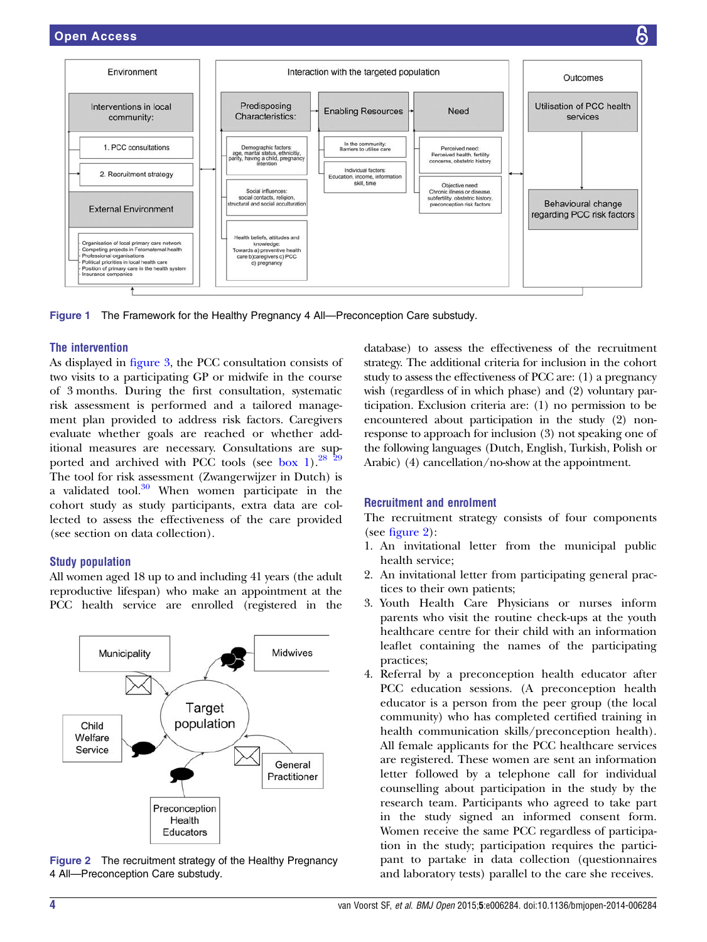<span id="page-3-0"></span>

Figure 1 The Framework for the Healthy Pregnancy 4 All—Preconception Care substudy.

## The intervention

As displayed in fi[gure 3](#page-4-0), the PCC consultation consists of two visits to a participating GP or midwife in the course of 3 months. During the first consultation, systematic risk assessment is performed and a tailored management plan provided to address risk factors. Caregivers evaluate whether goals are reached or whether additional measures are necessary. Consultations are supported and archived with PCC tools (see [box 1](#page-5-0)). $^{28}$   $29$ The tool for risk assessment (Zwangerwijzer in Dutch) is a validated tool. $30$  When women participate in the cohort study as study participants, extra data are collected to assess the effectiveness of the care provided (see section on data collection).

## Study population

All women aged 18 up to and including 41 years (the adult reproductive lifespan) who make an appointment at the PCC health service are enrolled (registered in the



Figure 2 The recruitment strategy of the Healthy Pregnancy 4 All—Preconception Care substudy.

database) to assess the effectiveness of the recruitment strategy. The additional criteria for inclusion in the cohort study to assess the effectiveness of PCC are: (1) a pregnancy wish (regardless of in which phase) and (2) voluntary participation. Exclusion criteria are: (1) no permission to be encountered about participation in the study (2) nonresponse to approach for inclusion (3) not speaking one of the following languages (Dutch, English, Turkish, Polish or Arabic) (4) cancellation/no-show at the appointment.

## Recruitment and enrolment

The recruitment strategy consists of four components (see figure 2):

- 1. An invitational letter from the municipal public health service;
- 2. An invitational letter from participating general practices to their own patients;
- 3. Youth Health Care Physicians or nurses inform parents who visit the routine check-ups at the youth healthcare centre for their child with an information leaflet containing the names of the participating practices;
- 4. Referral by a preconception health educator after PCC education sessions. (A preconception health educator is a person from the peer group (the local community) who has completed certified training in health communication skills/preconception health). All female applicants for the PCC healthcare services are registered. These women are sent an information letter followed by a telephone call for individual counselling about participation in the study by the research team. Participants who agreed to take part in the study signed an informed consent form. Women receive the same PCC regardless of participation in the study; participation requires the participant to partake in data collection (questionnaires and laboratory tests) parallel to the care she receives.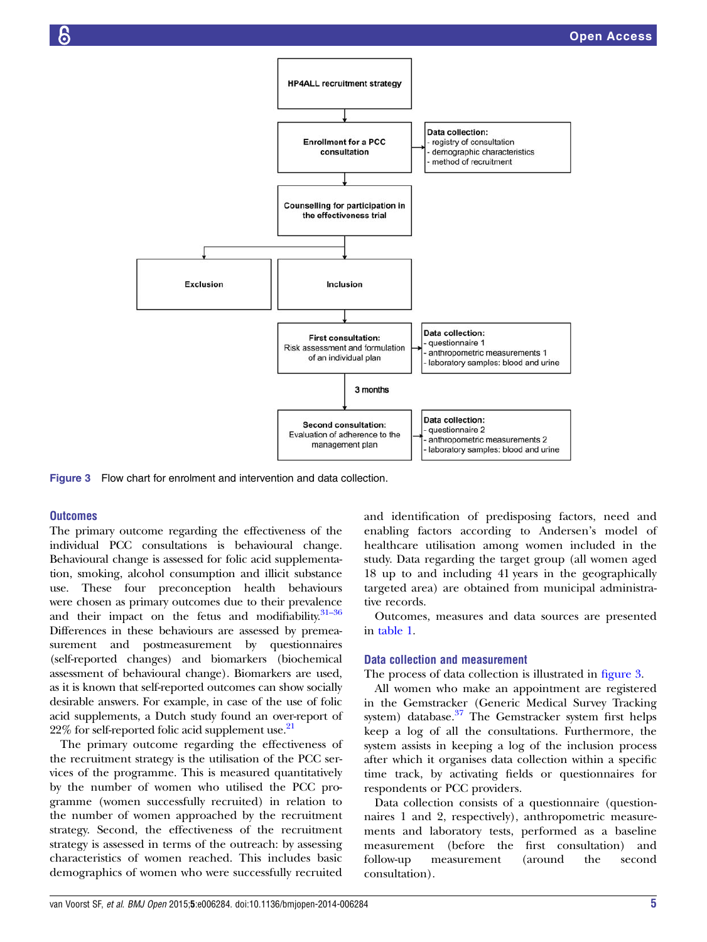<span id="page-4-0"></span>

Figure 3 Flow chart for enrolment and intervention and data collection.

## **Outcomes**

The primary outcome regarding the effectiveness of the individual PCC consultations is behavioural change. Behavioural change is assessed for folic acid supplementation, smoking, alcohol consumption and illicit substance use. These four preconception health behaviours were chosen as primary outcomes due to their prevalence and their impact on the fetus and modifiability. $31-36$ Differences in these behaviours are assessed by premeasurement and postmeasurement by questionnaires (self-reported changes) and biomarkers (biochemical assessment of behavioural change). Biomarkers are used, as it is known that self-reported outcomes can show socially desirable answers. For example, in case of the use of folic acid supplements, a Dutch study found an over-report of  $22\%$  for self-reported folic acid supplement use.<sup>21</sup>

The primary outcome regarding the effectiveness of the recruitment strategy is the utilisation of the PCC services of the programme. This is measured quantitatively by the number of women who utilised the PCC programme (women successfully recruited) in relation to the number of women approached by the recruitment strategy. Second, the effectiveness of the recruitment strategy is assessed in terms of the outreach: by assessing characteristics of women reached. This includes basic demographics of women who were successfully recruited and identification of predisposing factors, need and enabling factors according to Andersen's model of healthcare utilisation among women included in the study. Data regarding the target group (all women aged 18 up to and including 41 years in the geographically targeted area) are obtained from municipal administrative records.

Outcomes, measures and data sources are presented in [table 1.](#page-6-0)

#### Data collection and measurement

The process of data collection is illustrated in figure 3.

All women who make an appointment are registered in the Gemstracker (Generic Medical Survey Tracking system) database. $37$  The Gemstracker system first helps keep a log of all the consultations. Furthermore, the system assists in keeping a log of the inclusion process after which it organises data collection within a specific time track, by activating fields or questionnaires for respondents or PCC providers.

Data collection consists of a questionnaire (questionnaires 1 and 2, respectively), anthropometric measurements and laboratory tests, performed as a baseline measurement (before the first consultation) and follow-up measurement (around the second consultation).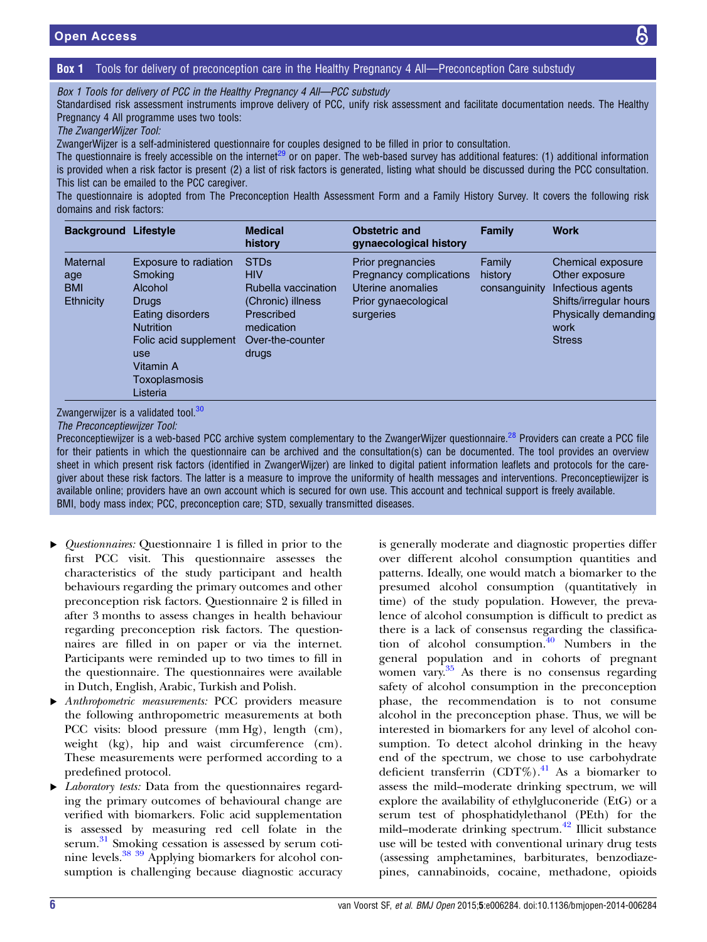<span id="page-5-0"></span>Box 1 Tools for delivery of PCC in the Healthy Pregnancy 4 All—PCC substudy

Standardised risk assessment instruments improve delivery of PCC, unify risk assessment and facilitate documentation needs. The Healthy Pregnancy 4 All programme uses two tools:

The ZwangerWijzer Tool:

ZwangerWijzer is a self-administered questionnaire for couples designed to be filled in prior to consultation.

The questionnaire is freely accessible on the internet<sup>[29](#page-9-0)</sup> or on paper. The web-based survey has additional features: (1) additional information is provided when a risk factor is present (2) a list of risk factors is generated, listing what should be discussed during the PCC consultation. This list can be emailed to the PCC caregiver.

The questionnaire is adopted from The Preconception Health Assessment Form and a Family History Survey. It covers the following risk domains and risk factors:

| <b>Background Lifestyle</b>                              |                                                                                                                                                                                      | <b>Medical</b><br>history                                                                                                      | <b>Obstetric and</b><br>gynaecological history                                                         | Family                             | <b>Work</b>                                                                                                                         |
|----------------------------------------------------------|--------------------------------------------------------------------------------------------------------------------------------------------------------------------------------------|--------------------------------------------------------------------------------------------------------------------------------|--------------------------------------------------------------------------------------------------------|------------------------------------|-------------------------------------------------------------------------------------------------------------------------------------|
| <b>Maternal</b><br>age<br><b>BMI</b><br><b>Ethnicity</b> | Exposure to radiation<br>Smoking<br>Alcohol<br><b>Drugs</b><br>Eating disorders<br><b>Nutrition</b><br>Folic acid supplement<br><b>use</b><br>Vitamin A<br>Toxoplasmosis<br>Listeria | <b>STDs</b><br><b>HIV</b><br>Rubella vaccination<br>(Chronic) illness<br>Prescribed<br>medication<br>Over-the-counter<br>drugs | Prior pregnancies<br>Pregnancy complications<br>Uterine anomalies<br>Prior gynaecological<br>surgeries | Family<br>history<br>consanguinity | Chemical exposure<br>Other exposure<br>Infectious agents<br>Shifts/irregular hours<br>Physically demanding<br>work<br><b>Stress</b> |
|                                                          | $\Omega$                                                                                                                                                                             |                                                                                                                                |                                                                                                        |                                    |                                                                                                                                     |

Zwangerwijzer is a validated tool.<sup>3</sup>

The Preconceptiewijzer Tool:

Preconceptiewijzer is a web-based PCC archive system complementary to the ZwangerWijzer questionnaire.<sup>28</sup> Providers can create a PCC file for their patients in which the questionnaire can be archived and the consultation(s) can be documented. The tool provides an overview sheet in which present risk factors (identified in ZwangerWijzer) are linked to digital patient information leaflets and protocols for the caregiver about these risk factors. The latter is a measure to improve the uniformity of health messages and interventions. Preconceptiewijzer is available online; providers have an own account which is secured for own use. This account and technical support is freely available. BMI, body mass index; PCC, preconception care; STD, sexually transmitted diseases.

- ▶ *Questionnaires:* Questionnaire 1 is filled in prior to the first PCC visit. This questionnaire assesses the characteristics of the study participant and health behaviours regarding the primary outcomes and other preconception risk factors. Questionnaire 2 is filled in after 3 months to assess changes in health behaviour regarding preconception risk factors. The questionnaires are filled in on paper or via the internet. Participants were reminded up to two times to fill in the questionnaire. The questionnaires were available in Dutch, English, Arabic, Turkish and Polish.
- ▸ Anthropometric measurements: PCC providers measure the following anthropometric measurements at both PCC visits: blood pressure (mm Hg), length (cm), weight (kg), hip and waist circumference (cm). These measurements were performed according to a predefined protocol.
- ▶ *Laboratory tests:* Data from the questionnaires regarding the primary outcomes of behavioural change are verified with biomarkers. Folic acid supplementation is assessed by measuring red cell folate in the serum.<sup>[31](#page-9-0)</sup> Smoking cessation is assessed by serum cotinine levels.<sup>38</sup> <sup>39</sup> Applying biomarkers for alcohol consumption is challenging because diagnostic accuracy

is generally moderate and diagnostic properties differ over different alcohol consumption quantities and patterns. Ideally, one would match a biomarker to the presumed alcohol consumption (quantitatively in time) of the study population. However, the prevalence of alcohol consumption is difficult to predict as there is a lack of consensus regarding the classification of alcohol consumption. $40$  Numbers in the general population and in cohorts of pregnant women vary. $35$  As there is no consensus regarding safety of alcohol consumption in the preconception phase, the recommendation is to not consume alcohol in the preconception phase. Thus, we will be interested in biomarkers for any level of alcohol consumption. To detect alcohol drinking in the heavy end of the spectrum, we chose to use carbohydrate deficient transferrin  $(CDT\%)$ .<sup>41</sup> As a biomarker to assess the mild–moderate drinking spectrum, we will explore the availability of ethylgluconeride (EtG) or a serum test of phosphatidylethanol (PEth) for the mild–moderate drinking spectrum.<sup>[42](#page-9-0)</sup> Illicit substance use will be tested with conventional urinary drug tests (assessing amphetamines, barbiturates, benzodiazepines, cannabinoids, cocaine, methadone, opioids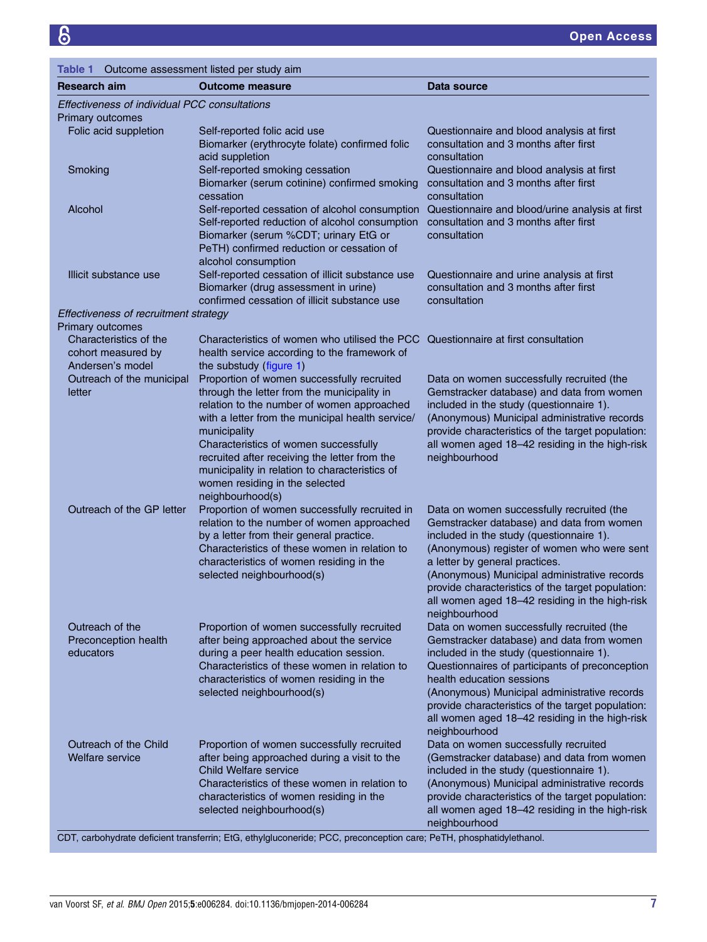<span id="page-6-0"></span>

|                                                                          |                                                                  | Table 1 Outcome assessment listed per study aim                                                                                                                                                                                                                                                                                                                                           |                                                                                                                                                                                                                                                                                                                                                                                             |  |  |  |  |
|--------------------------------------------------------------------------|------------------------------------------------------------------|-------------------------------------------------------------------------------------------------------------------------------------------------------------------------------------------------------------------------------------------------------------------------------------------------------------------------------------------------------------------------------------------|---------------------------------------------------------------------------------------------------------------------------------------------------------------------------------------------------------------------------------------------------------------------------------------------------------------------------------------------------------------------------------------------|--|--|--|--|
| <b>Research aim</b>                                                      |                                                                  | <b>Outcome measure</b>                                                                                                                                                                                                                                                                                                                                                                    | Data source                                                                                                                                                                                                                                                                                                                                                                                 |  |  |  |  |
| Effectiveness of individual PCC consultations<br><b>Primary outcomes</b> |                                                                  |                                                                                                                                                                                                                                                                                                                                                                                           |                                                                                                                                                                                                                                                                                                                                                                                             |  |  |  |  |
|                                                                          | Folic acid suppletion                                            | Self-reported folic acid use<br>Biomarker (erythrocyte folate) confirmed folic<br>acid suppletion                                                                                                                                                                                                                                                                                         | Questionnaire and blood analysis at first<br>consultation and 3 months after first<br>consultation                                                                                                                                                                                                                                                                                          |  |  |  |  |
| Smoking                                                                  |                                                                  | Self-reported smoking cessation<br>Biomarker (serum cotinine) confirmed smoking<br>cessation                                                                                                                                                                                                                                                                                              | Questionnaire and blood analysis at first<br>consultation and 3 months after first<br>consultation                                                                                                                                                                                                                                                                                          |  |  |  |  |
| Alcohol                                                                  |                                                                  | Self-reported cessation of alcohol consumption<br>Self-reported reduction of alcohol consumption<br>Biomarker (serum %CDT; urinary EtG or<br>PeTH) confirmed reduction or cessation of<br>alcohol consumption                                                                                                                                                                             | Questionnaire and blood/urine analysis at first<br>consultation and 3 months after first<br>consultation                                                                                                                                                                                                                                                                                    |  |  |  |  |
|                                                                          | Illicit substance use                                            | Self-reported cessation of illicit substance use<br>Biomarker (drug assessment in urine)<br>confirmed cessation of illicit substance use                                                                                                                                                                                                                                                  | Questionnaire and urine analysis at first<br>consultation and 3 months after first<br>consultation                                                                                                                                                                                                                                                                                          |  |  |  |  |
| Effectiveness of recruitment strategy                                    |                                                                  |                                                                                                                                                                                                                                                                                                                                                                                           |                                                                                                                                                                                                                                                                                                                                                                                             |  |  |  |  |
| <b>Primary outcomes</b>                                                  |                                                                  |                                                                                                                                                                                                                                                                                                                                                                                           |                                                                                                                                                                                                                                                                                                                                                                                             |  |  |  |  |
|                                                                          | Characteristics of the<br>cohort measured by<br>Andersen's model | Characteristics of women who utilised the PCC<br>health service according to the framework of<br>the substudy (figure 1)                                                                                                                                                                                                                                                                  | Questionnaire at first consultation                                                                                                                                                                                                                                                                                                                                                         |  |  |  |  |
| letter                                                                   | Outreach of the municipal                                        | Proportion of women successfully recruited<br>through the letter from the municipality in<br>relation to the number of women approached<br>with a letter from the municipal health service/<br>municipality<br>Characteristics of women successfully<br>recruited after receiving the letter from the<br>municipality in relation to characteristics of<br>women residing in the selected | Data on women successfully recruited (the<br>Gemstracker database) and data from women<br>included in the study (questionnaire 1).<br>(Anonymous) Municipal administrative records<br>provide characteristics of the target population:<br>all women aged 18-42 residing in the high-risk<br>neighbourhood                                                                                  |  |  |  |  |
|                                                                          | Outreach of the GP letter                                        | neighbourhood(s)<br>Proportion of women successfully recruited in<br>relation to the number of women approached<br>by a letter from their general practice.<br>Characteristics of these women in relation to<br>characteristics of women residing in the<br>selected neighbourhood(s)                                                                                                     | Data on women successfully recruited (the<br>Gemstracker database) and data from women<br>included in the study (questionnaire 1).<br>(Anonymous) register of women who were sent<br>a letter by general practices.<br>(Anonymous) Municipal administrative records<br>provide characteristics of the target population:<br>all women aged 18-42 residing in the high-risk<br>neighbourhood |  |  |  |  |
| Outreach of the<br>educators                                             | Preconception health                                             | Proportion of women successfully recruited<br>after being approached about the service<br>during a peer health education session.<br>Characteristics of these women in relation to<br>characteristics of women residing in the<br>selected neighbourhood(s)                                                                                                                               | Data on women successfully recruited (the<br>Gemstracker database) and data from women<br>included in the study (questionnaire 1).<br>Questionnaires of participants of preconception<br>health education sessions<br>(Anonymous) Municipal administrative records<br>provide characteristics of the target population:<br>all women aged 18-42 residing in the high-risk<br>neighbourhood  |  |  |  |  |
| Welfare service                                                          | Outreach of the Child                                            | Proportion of women successfully recruited<br>after being approached during a visit to the<br>Child Welfare service<br>Characteristics of these women in relation to<br>characteristics of women residing in the<br>selected neighbourhood(s)                                                                                                                                             | Data on women successfully recruited<br>(Gemstracker database) and data from women<br>included in the study (questionnaire 1).<br>(Anonymous) Municipal administrative records<br>provide characteristics of the target population:<br>all women aged 18-42 residing in the high-risk<br>neighbourhood                                                                                      |  |  |  |  |

CDT, carbohydrate deficient transferrin; EtG, ethylgluconeride; PCC, preconception care; PeTH, phosphatidylethanol.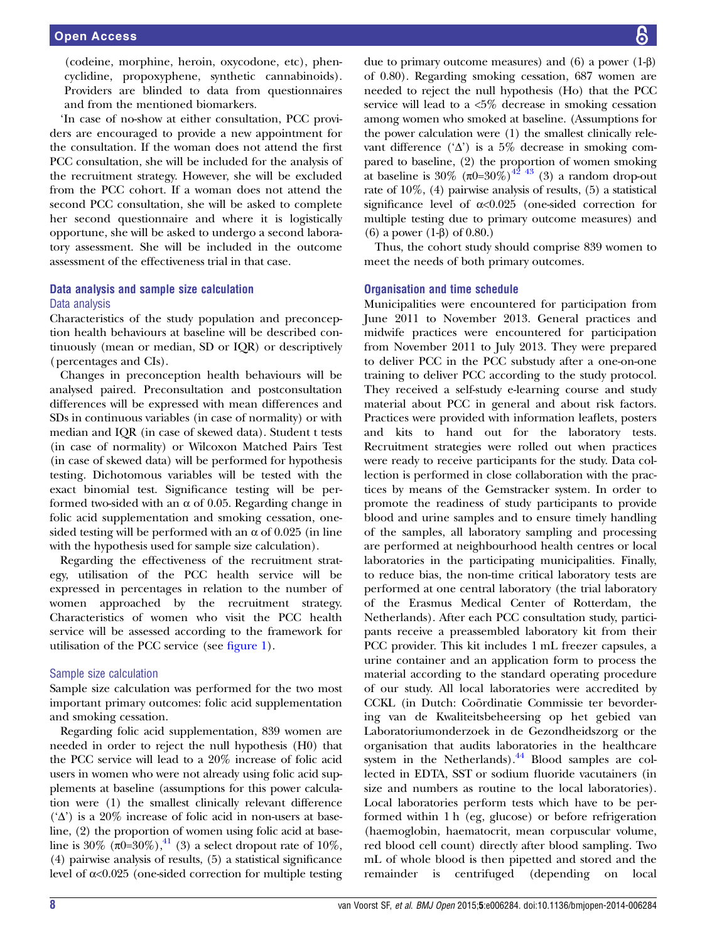(codeine, morphine, heroin, oxycodone, etc), phencyclidine, propoxyphene, synthetic cannabinoids). Providers are blinded to data from questionnaires and from the mentioned biomarkers.

'In case of no-show at either consultation, PCC providers are encouraged to provide a new appointment for the consultation. If the woman does not attend the first PCC consultation, she will be included for the analysis of the recruitment strategy. However, she will be excluded from the PCC cohort. If a woman does not attend the second PCC consultation, she will be asked to complete her second questionnaire and where it is logistically opportune, she will be asked to undergo a second laboratory assessment. She will be included in the outcome assessment of the effectiveness trial in that case.

## Data analysis and sample size calculation Data analysis

Characteristics of the study population and preconception health behaviours at baseline will be described continuously (mean or median, SD or IQR) or descriptively (percentages and CIs).

Changes in preconception health behaviours will be analysed paired. Preconsultation and postconsultation differences will be expressed with mean differences and SDs in continuous variables (in case of normality) or with median and IQR (in case of skewed data). Student t tests (in case of normality) or Wilcoxon Matched Pairs Test (in case of skewed data) will be performed for hypothesis testing. Dichotomous variables will be tested with the exact binomial test. Significance testing will be performed two-sided with an  $\alpha$  of 0.05. Regarding change in folic acid supplementation and smoking cessation, onesided testing will be performed with an  $\alpha$  of 0.025 (in line with the hypothesis used for sample size calculation).

Regarding the effectiveness of the recruitment strategy, utilisation of the PCC health service will be expressed in percentages in relation to the number of women approached by the recruitment strategy. Characteristics of women who visit the PCC health service will be assessed according to the framework for utilisation of the PCC service (see fi[gure 1](#page-3-0)).

## Sample size calculation

Sample size calculation was performed for the two most important primary outcomes: folic acid supplementation and smoking cessation.

Regarding folic acid supplementation, 839 women are needed in order to reject the null hypothesis (H0) that the PCC service will lead to a 20% increase of folic acid users in women who were not already using folic acid supplements at baseline (assumptions for this power calculation were (1) the smallest clinically relevant difference ('Δ') is a 20% increase of folic acid in non-users at baseline, (2) the proportion of women using folic acid at baseline is 30%  $(\pi 0=30\%)$ ,<sup>41</sup> (3) a select dropout rate of 10%, (4) pairwise analysis of results, (5) a statistical significance level of  $\alpha$ <0.025 (one-sided correction for multiple testing

due to primary outcome measures) and (6) a power (1-β) of 0.80). Regarding smoking cessation, 687 women are needed to reject the null hypothesis (Ho) that the PCC service will lead to a <5% decrease in smoking cessation among women who smoked at baseline. (Assumptions for the power calculation were (1) the smallest clinically relevant difference (' $\Delta$ ') is a 5% decrease in smoking compared to baseline, (2) the proportion of women smoking at baseline is  $30\%$   $(\pi 0=30\%)$ <sup>42</sup><sup>43</sup> (3) a random drop-out rate of 10%, (4) pairwise analysis of results, (5) a statistical significance level of  $\alpha < 0.025$  (one-sided correction for multiple testing due to primary outcome measures) and (6) a power (1-β) of 0.80.)

Thus, the cohort study should comprise 839 women to meet the needs of both primary outcomes.

## Organisation and time schedule

Municipalities were encountered for participation from June 2011 to November 2013. General practices and midwife practices were encountered for participation from November 2011 to July 2013. They were prepared to deliver PCC in the PCC substudy after a one-on-one training to deliver PCC according to the study protocol. They received a self-study e-learning course and study material about PCC in general and about risk factors. Practices were provided with information leaflets, posters and kits to hand out for the laboratory tests. Recruitment strategies were rolled out when practices were ready to receive participants for the study. Data collection is performed in close collaboration with the practices by means of the Gemstracker system. In order to promote the readiness of study participants to provide blood and urine samples and to ensure timely handling of the samples, all laboratory sampling and processing are performed at neighbourhood health centres or local laboratories in the participating municipalities. Finally, to reduce bias, the non-time critical laboratory tests are performed at one central laboratory (the trial laboratory of the Erasmus Medical Center of Rotterdam, the Netherlands). After each PCC consultation study, participants receive a preassembled laboratory kit from their PCC provider. This kit includes 1 mL freezer capsules, a urine container and an application form to process the material according to the standard operating procedure of our study. All local laboratories were accredited by CCKL (in Dutch: Coördinatie Commissie ter bevordering van de Kwaliteitsbeheersing op het gebied van Laboratoriumonderzoek in de Gezondheidszorg or the organisation that audits laboratories in the healthcare system in the Netherlands). $44$  Blood samples are collected in EDTA, SST or sodium fluoride vacutainers (in size and numbers as routine to the local laboratories). Local laboratories perform tests which have to be performed within 1 h (eg, glucose) or before refrigeration (haemoglobin, haematocrit, mean corpuscular volume, red blood cell count) directly after blood sampling. Two mL of whole blood is then pipetted and stored and the remainder is centrifuged (depending on local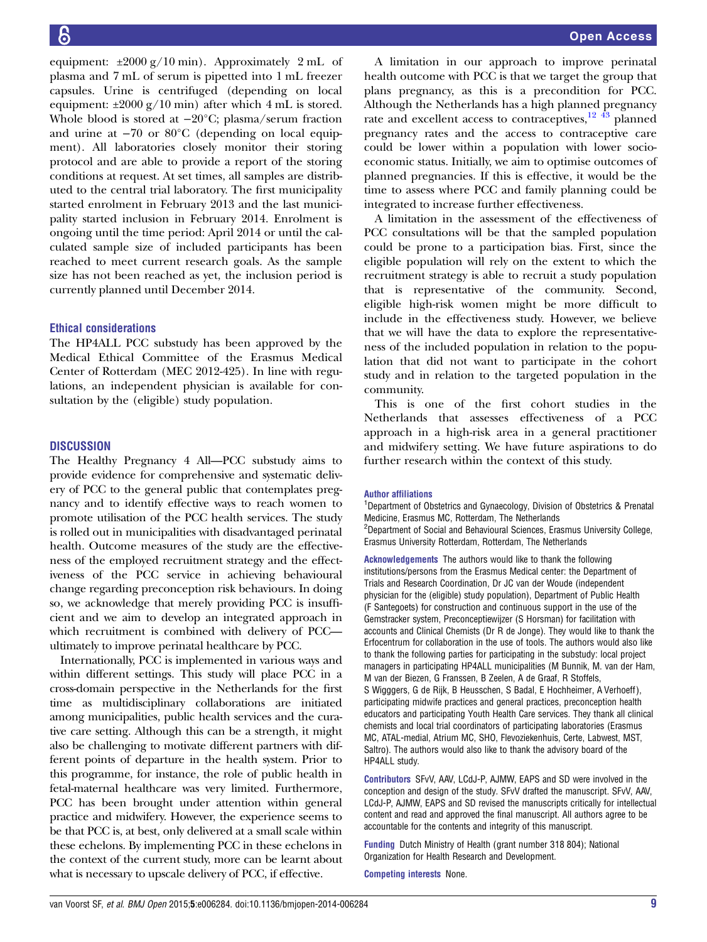equipment:  $\pm 2000 \text{ g}/10 \text{ min}$ . Approximately 2 mL of plasma and 7 mL of serum is pipetted into 1 mL freezer capsules. Urine is centrifuged (depending on local equipment:  $\pm 2000 \frac{\text{g}}{10 \text{ min}}$  after which 4 mL is stored. Whole blood is stored at −20°C; plasma/serum fraction and urine at −70 or 80°C (depending on local equipment). All laboratories closely monitor their storing protocol and are able to provide a report of the storing conditions at request. At set times, all samples are distributed to the central trial laboratory. The first municipality started enrolment in February 2013 and the last municipality started inclusion in February 2014. Enrolment is ongoing until the time period: April 2014 or until the calculated sample size of included participants has been reached to meet current research goals. As the sample size has not been reached as yet, the inclusion period is currently planned until December 2014.

#### Ethical considerations

The HP4ALL PCC substudy has been approved by the Medical Ethical Committee of the Erasmus Medical Center of Rotterdam (MEC 2012-425). In line with regulations, an independent physician is available for consultation by the (eligible) study population.

#### **DISCUSSION**

The Healthy Pregnancy 4 All—PCC substudy aims to provide evidence for comprehensive and systematic delivery of PCC to the general public that contemplates pregnancy and to identify effective ways to reach women to promote utilisation of the PCC health services. The study is rolled out in municipalities with disadvantaged perinatal health. Outcome measures of the study are the effectiveness of the employed recruitment strategy and the effectiveness of the PCC service in achieving behavioural change regarding preconception risk behaviours. In doing so, we acknowledge that merely providing PCC is insufficient and we aim to develop an integrated approach in which recruitment is combined with delivery of PCC ultimately to improve perinatal healthcare by PCC.

Internationally, PCC is implemented in various ways and within different settings. This study will place PCC in a cross-domain perspective in the Netherlands for the first time as multidisciplinary collaborations are initiated among municipalities, public health services and the curative care setting. Although this can be a strength, it might also be challenging to motivate different partners with different points of departure in the health system. Prior to this programme, for instance, the role of public health in fetal-maternal healthcare was very limited. Furthermore, PCC has been brought under attention within general practice and midwifery. However, the experience seems to be that PCC is, at best, only delivered at a small scale within these echelons. By implementing PCC in these echelons in the context of the current study, more can be learnt about what is necessary to upscale delivery of PCC, if effective.

A limitation in our approach to improve perinatal health outcome with PCC is that we target the group that plans pregnancy, as this is a precondition for PCC. Although the Netherlands has a high planned pregnancy rate and excellent access to contraceptives, $12\frac{43}{3}$  planned pregnancy rates and the access to contraceptive care could be lower within a population with lower socioeconomic status. Initially, we aim to optimise outcomes of planned pregnancies. If this is effective, it would be the time to assess where PCC and family planning could be integrated to increase further effectiveness.

A limitation in the assessment of the effectiveness of PCC consultations will be that the sampled population could be prone to a participation bias. First, since the eligible population will rely on the extent to which the recruitment strategy is able to recruit a study population that is representative of the community. Second, eligible high-risk women might be more difficult to include in the effectiveness study. However, we believe that we will have the data to explore the representativeness of the included population in relation to the population that did not want to participate in the cohort study and in relation to the targeted population in the community.

This is one of the first cohort studies in the Netherlands that assesses effectiveness of a PCC approach in a high-risk area in a general practitioner and midwifery setting. We have future aspirations to do further research within the context of this study.

#### Author affiliations

<sup>1</sup>Department of Obstetrics and Gynaecology, Division of Obstetrics & Prenatal Medicine, Erasmus MC, Rotterdam, The Netherlands <sup>2</sup>Department of Social and Behavioural Sciences, Erasmus University College, Erasmus University Rotterdam, Rotterdam, The Netherlands

Acknowledgements The authors would like to thank the following institutions/persons from the Erasmus Medical center: the Department of Trials and Research Coordination, Dr JC van der Woude (independent physician for the (eligible) study population), Department of Public Health (F Santegoets) for construction and continuous support in the use of the Gemstracker system, Preconceptiewijzer (S Horsman) for facilitation with accounts and Clinical Chemists (Dr R de Jonge). They would like to thank the Erfocentrum for collaboration in the use of tools. The authors would also like to thank the following parties for participating in the substudy: local project managers in participating HP4ALL municipalities (M Bunnik, M. van der Ham, M van der Biezen, G Franssen, B Zeelen, A de Graaf, R Stoffels, S Wigggers, G de Rijk, B Heusschen, S Badal, E Hochheimer, A Verhoeff ), participating midwife practices and general practices, preconception health educators and participating Youth Health Care services. They thank all clinical chemists and local trial coordinators of participating laboratories (Erasmus MC, ATAL-medial, Atrium MC, SHO, Flevoziekenhuis, Certe, Labwest, MST, Saltro). The authors would also like to thank the advisory board of the HP4ALL study.

Contributors SFvV, AAV, LCdJ-P, AJMW, EAPS and SD were involved in the conception and design of the study. SFvV drafted the manuscript. SFvV, AAV, LCdJ-P, AJMW, EAPS and SD revised the manuscripts critically for intellectual content and read and approved the final manuscript. All authors agree to be accountable for the contents and integrity of this manuscript.

Funding Dutch Ministry of Health (grant number 318 804); National Organization for Health Research and Development.

Competing interests None.